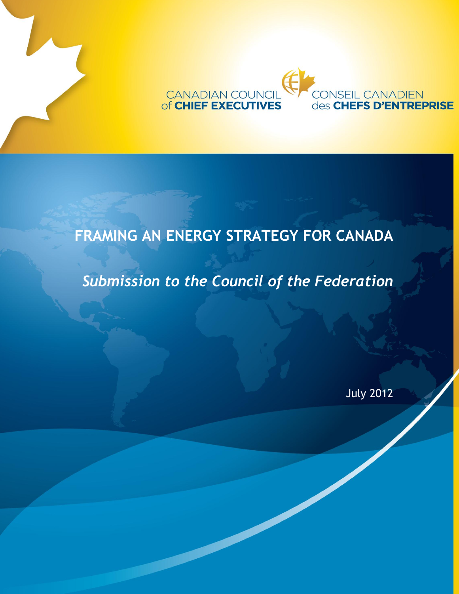

**FRAMING AN ENERGY STRATEGY FOR CANADA**

# *Submission to the Council of the Federation*

July 2012

**INSEIL CANADIEN**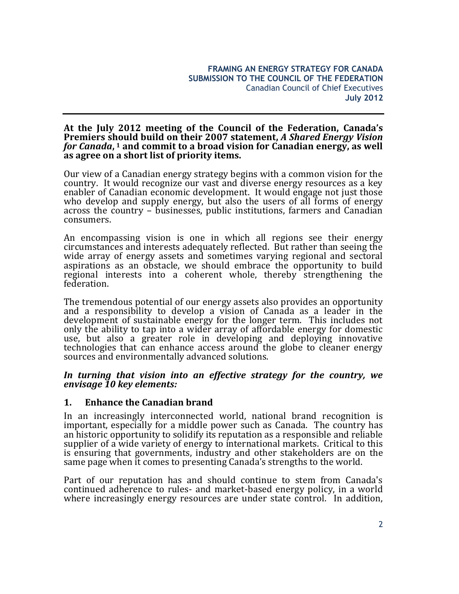#### **At the July 2012 meeting of the Council of the Federation, Canada's Premiers should build on their 2007 statement,** *A Shared Energy Vision for Canada***, <sup>1</sup> and commit to a broad vision for Canadian energy, as well as agree on a short list of priority items.**

Our view of a Canadian energy strategy begins with a common vision for the country. It would recognize our vast and diverse energy resources as a key enabler of Canadian economic development. It would engage not just those who develop and supply energy, but also the users of all forms of energy across the country – businesses, public institutions, farmers and Canadian consumers.

An encompassing vision is one in which all regions see their energy circumstances and interests adequately reflected. But rather than seeing the wide array of energy assets and sometimes varying regional and sectoral aspirations as an obstacle, we should embrace the opportunity to build regional interests into a coherent whole, thereby strengthening the federation.

The tremendous potential of our energy assets also provides an opportunity and a responsibility to develop a vision of Canada as a leader in the development of sustainable energy for the longer term. This includes not only the ability to tap into a wider array of affordable energy for domestic use, but also a greater role in developing and deploying innovative technologies that can enhance access around the globe to cleaner energy sources and environmentally advanced solutions.

#### *In turning that vision into an effective strategy for the country, we envisage 10 key elements:*

# **1. Enhance the Canadian brand**

In an increasingly interconnected world, national brand recognition is important, especially for a middle power such as Canada. The country has an historic opportunity to solidify its reputation as a responsible and reliable supplier of a wide variety of energy to international markets. Critical to this is ensuring that governments, industry and other stakeholders are on the same page when it comes to presenting Canada's strengths to the world.

Part of our reputation has and should continue to stem from Canada's continued adherence to rules- and market-based energy policy, in a world where increasingly energy resources are under state control. In addition,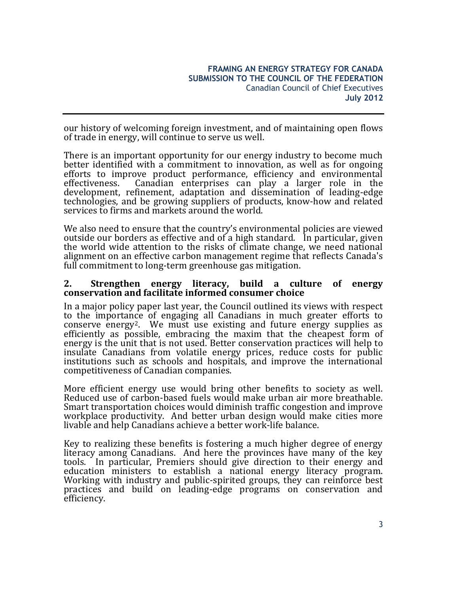our history of welcoming foreign investment, and of maintaining open flows of trade in energy, will continue to serve us well.

There is an important opportunity for our energy industry to become much better identified with a commitment to innovation, as well as for ongoing efforts to improve product performance, efficiency and environmental effectiveness. Canadian enterprises can play a larger role in the development, refinement, adaptation and dissemination of leading-edge technologies, and be growing suppliers of products, know-how and related services to firms and markets around the world.

We also need to ensure that the country's environmental policies are viewed outside our borders as effective and of a high standard. In particular, given the world wide attention to the risks of climate change, we need national alignment on an effective carbon management regime that reflects Canada's full commitment to long-term greenhouse gas mitigation.

#### **2. Strengthen energy literacy, build a culture of energy conservation and facilitate informed consumer choice**

In a major policy paper last year, the Council outlined its views with respect to the importance of engaging all Canadians in much greater efforts to conserve energy2. We must use existing and future energy supplies as efficiently as possible, embracing the maxim that the cheapest form of energy is the unit that is not used. Better conservation practices will help to insulate Canadians from volatile energy prices, reduce costs for public institutions such as schools and hospitals, and improve the international competitiveness of Canadian companies.

More efficient energy use would bring other benefits to society as well. Reduced use of carbon-based fuels would make urban air more breathable. Smart transportation choices would diminish traffic congestion and improve workplace productivity. And better urban design would make cities more livable and help Canadians achieve a better work-life balance.

Key to realizing these benefits is fostering a much higher degree of energy literacy among Canadians. And here the provinces have many of the key tools. In particular, Premiers should give direction to their energy and education ministers to establish a national energy literacy program. Working with industry and public-spirited groups, they can reinforce best practices and build on leading-edge programs on conservation and efficiency.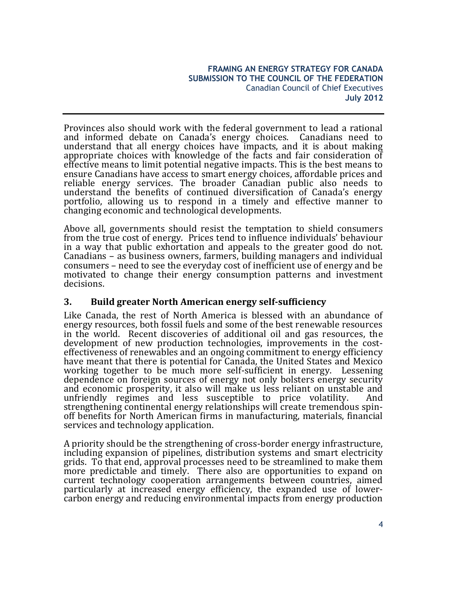Provinces also should work with the federal government to lead a rational and informed debate on Canada's energy choices. Canadians need to understand that all energy choices have impacts, and it is about making appropriate choices with knowledge of the facts and fair consideration of effective means to limit potential negative impacts. This is the best means to ensure Canadians have access to smart energy choices, affordable prices and reliable energy services. The broader Canadian public also needs to understand the benefits of continued diversification of Canada's energy portfolio, allowing us to respond in a timely and effective manner to changing economic and technological developments.

Above all, governments should resist the temptation to shield consumers from the true cost of energy. Prices tend to influence individuals' behaviour in a way that public exhortation and appeals to the greater good do not. Canadians – as business owners, farmers, building managers and individual consumers – need to see the everyday cost of inefficient use of energy and be motivated to change their energy consumption patterns and investment decisions.

# **3. Build greater North American energy self-sufficiency**

Like Canada, the rest of North America is blessed with an abundance of energy resources, both fossil fuels and some of the best renewable resources in the world. Recent discoveries of additional oil and gas resources, the development of new production technologies, improvements in the costeffectiveness of renewables and an ongoing commitment to energy efficiency have meant that there is potential for Canada, the United States and Mexico working together to be much more self-sufficient in energy. Lessening dependence on foreign sources of energy not only bolsters energy security and economic prosperity, it also will make us less reliant on unstable and unfriendly regimes and less susceptible to price volatility. And strengthening continental energy relationships will create tremendous spinoff benefits for North American firms in manufacturing, materials, financial services and technology application.

A priority should be the strengthening of cross-border energy infrastructure, including expansion of pipelines, distribution systems and smart electricity grids. To that end, approval processes need to be streamlined to make them more predictable and timely. There also are opportunities to expand on current technology cooperation arrangements between countries, aimed particularly at increased energy efficiency, the expanded use of lowercarbon energy and reducing environmental impacts from energy production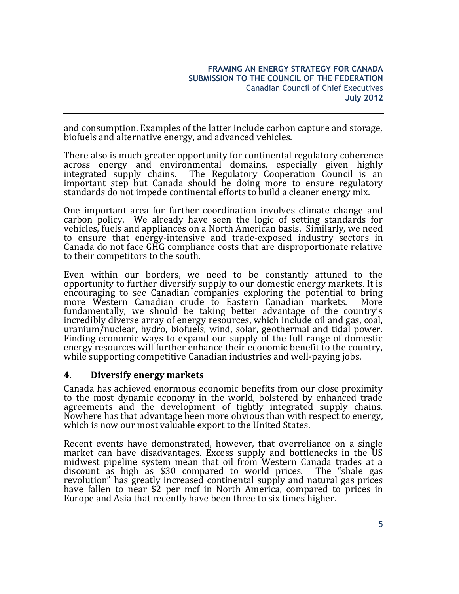and consumption. Examples of the latter include carbon capture and storage, biofuels and alternative energy, and advanced vehicles.

There also is much greater opportunity for continental regulatory coherence across energy and environmental domains, especially given highly integrated supply chains. The Regulatory Cooperation Council is an The Regulatory Cooperation Council is an important step but Canada should be doing more to ensure regulatory standards do not impede continental efforts to build a cleaner energy mix.

One important area for further coordination involves climate change and carbon policy. We already have seen the logic of setting standards for vehicles, fuels and appliances on a North American basis. Similarly, we need to ensure that energy-intensive and trade-exposed industry sectors in Canada do not face GHG compliance costs that are disproportionate relative to their competitors to the south.

Even within our borders, we need to be constantly attuned to the opportunity to further diversify supply to our domestic energy markets. It is encouraging to see Canadian companies exploring the potential to bring more Western Canadian crude to Eastern Canadian markets. More fundamentally, we should be taking better advantage of the country's incredibly diverse array of energy resources, which include oil and gas, coal, uranium/nuclear, hydro, biofuels, wind, solar, geothermal and tidal power. Finding economic ways to expand our supply of the full range of domestic energy resources will further enhance their economic benefit to the country, while supporting competitive Canadian industries and well-paying jobs.

# **4. Diversify energy markets**

Canada has achieved enormous economic benefits from our close proximity to the most dynamic economy in the world, bolstered by enhanced trade agreements and the development of tightly integrated supply chains. Nowhere has that advantage been more obvious than with respect to energy, which is now our most valuable export to the United States.

Recent events have demonstrated, however, that overreliance on a single market can have disadvantages. Excess supply and bottlenecks in the US midwest pipeline system mean that oil from Western Canada trades at a discount as high as \$30 compared to world prices. The "shale gas revolution" has greatly increased continental supply and natural gas prices have fallen to near \$2 per mcf in North America, compared to prices in Europe and Asia that recently have been three to six times higher.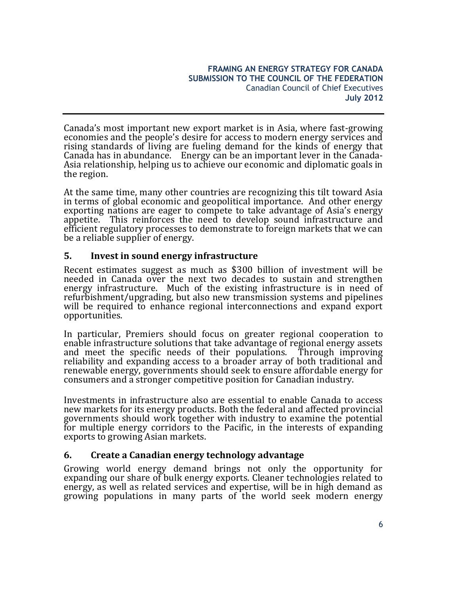Canada's most important new export market is in Asia, where fast-growing economies and the people's desire for access to modern energy services and rising standards of living are fueling demand for the kinds of energy that Canada has in abundance. Energy can be an important lever in the Canada-Asia relationship, helping us to achieve our economic and diplomatic goals in the region.

At the same time, many other countries are recognizing this tilt toward Asia in terms of global economic and geopolitical importance. And other energy exporting nations are eager to compete to take advantage of Asia's energy appetite. This reinforces the need to develop sound infrastructure and efficient regulatory processes to demonstrate to foreign markets that we can be a reliable supplier of energy.

# **5. Invest in sound energy infrastructure**

Recent estimates suggest as much as \$300 billion of investment will be needed in Canada over the next two decades to sustain and strengthen energy infrastructure. Much of the existing infrastructure is in need of refurbishment/upgrading, but also new transmission systems and pipelines will be required to enhance regional interconnections and expand export opportunities.

In particular, Premiers should focus on greater regional cooperation to enable infrastructure solutions that take advantage of regional energy assets and meet the specific needs of their populations. Through improving reliability and expanding access to a broader array of both traditional and renewable energy, governments should seek to ensure affordable energy for consumers and a stronger competitive position for Canadian industry.

Investments in infrastructure also are essential to enable Canada to access new markets for its energy products. Both the federal and affected provincial governments should work together with industry to examine the potential for multiple energy corridors to the Pacific, in the interests of expanding exports to growing Asian markets.

# **6. Create a Canadian energy technology advantage**

Growing world energy demand brings not only the opportunity for expanding our share of bulk energy exports. Cleaner technologies related to energy, as well as related services and expertise, will be in high demand as growing populations in many parts of the world seek modern energy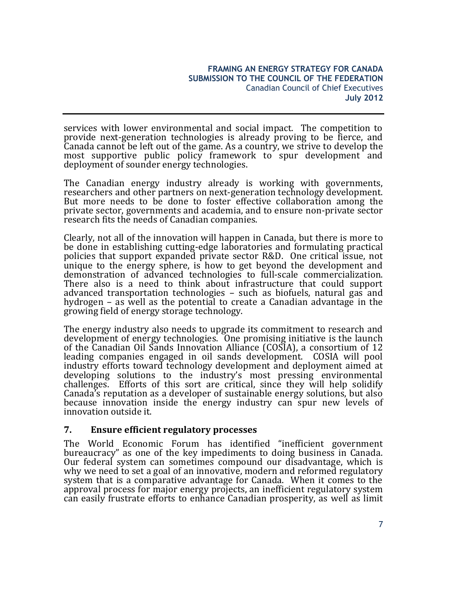services with lower environmental and social impact. The competition to provide next-generation technologies is already proving to be fierce, and Canada cannot be left out of the game. As a country, we strive to develop the most supportive public policy framework to spur development and deployment of sounder energy technologies.

The Canadian energy industry already is working with governments, researchers and other partners on next-generation technology development. But more needs to be done to foster effective collaboration among the private sector, governments and academia, and to ensure non-private sector research fits the needs of Canadian companies.

Clearly, not all of the innovation will happen in Canada, but there is more to be done in establishing cutting-edge laboratories and formulating practical policies that support expanded private sector R&D. One critical issue, not unique to the energy sphere, is how to get beyond the development and demonstration of advanced technologies to full-scale commercialization. There also is a need to think about infrastructure that could support advanced transportation technologies – such as biofuels, natural gas and hydrogen – as well as the potential to create a Canadian advantage in the growing field of energy storage technology.

The energy industry also needs to upgrade its commitment to research and development of energy technologies. One promising initiative is the launch of the Canadian Oil Sands Innovation Alliance (COSIA), a consortium of 12 leading companies engaged in oil sands development. COSIA will pool industry efforts toward technology development and deployment aimed at developing solutions to the industry's most pressing environmental challenges. Efforts of this sort are critical, since they will help solidify Canada's reputation as a developer of sustainable energy solutions, but also because innovation inside the energy industry can spur new levels of innovation outside it.

# **7. Ensure efficient regulatory processes**

The World Economic Forum has identified "inefficient government bureaucracy" as one of the key impediments to doing business in Canada. Our federal system can sometimes compound our disadvantage, which is why we need to set a goal of an innovative, modern and reformed regulatory system that is a comparative advantage for Canada. When it comes to the approval process for major energy projects, an inefficient regulatory system can easily frustrate efforts to enhance Canadian prosperity, as well as limit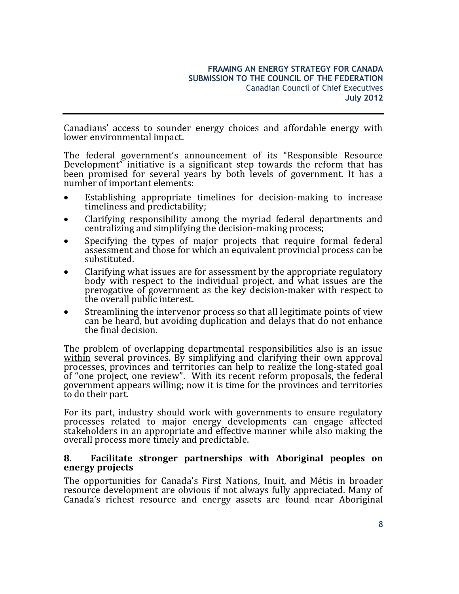Canadians' access to sounder energy choices and affordable energy with lower environmental impact.

The federal government's announcement of its "Responsible Resource Development" initiative is a significant step towards the reform that has been promised for several years by both levels of government. It has a number of important elements:

- Establishing appropriate timelines for decision-making to increase timeliness and predictability;
- Clarifying responsibility among the myriad federal departments and centralizing and simplifying the decision-making process;
- Specifying the types of major projects that require formal federal assessment and those for which an equivalent provincial process can be substituted.
- Clarifying what issues are for assessment by the appropriate regulatory body with respect to the individual project, and what issues are the prerogative of government as the key decision-maker with respect to the overall public interest.
- Streamlining the intervenor process so that all legitimate points of view can be heard, but avoiding duplication and delays that do not enhance the final decision.

The problem of overlapping departmental responsibilities also is an issue within several provinces. By simplifying and clarifying their own approval processes, provinces and territories can help to realize the long-stated goal of "one project, one review". With its recent reform proposals, the federal government appears willing; now it is time for the provinces and territories to do their part.

For its part, industry should work with governments to ensure regulatory processes related to major energy developments can engage affected stakeholders in an appropriate and effective manner while also making the overall process more timely and predictable.

### **8. Facilitate stronger partnerships with Aboriginal peoples on energy projects**

The opportunities for Canada's First Nations, Inuit, and Métis in broader resource development are obvious if not always fully appreciated. Many of Canada's richest resource and energy assets are found near Aboriginal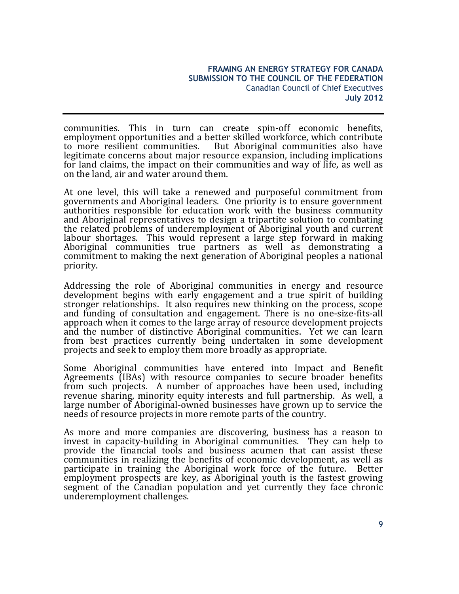communities. This in turn can create spin-off economic benefits, employment opportunities and a better skilled workforce, which contribute to more resilient communities. But Aboriginal communities also have legitimate concerns about major resource expansion, including implications for land claims, the impact on their communities and way of life, as well as on the land, air and water around them.

At one level, this will take a renewed and purposeful commitment from governments and Aboriginal leaders. One priority is to ensure government authorities responsible for education work with the business community and Aboriginal representatives to design a tripartite solution to combating the related problems of underemployment of Aboriginal youth and current labour shortages. This would represent a large step forward in making Aboriginal communities true partners as well as demonstrating a commitment to making the next generation of Aboriginal peoples a national priority.

Addressing the role of Aboriginal communities in energy and resource development begins with early engagement and a true spirit of building stronger relationships. It also requires new thinking on the process, scope and funding of consultation and engagement. There is no one-size-fits-all approach when it comes to the large array of resource development projects and the number of distinctive Aboriginal communities. Yet we can learn from best practices currently being undertaken in some development projects and seek to employ them more broadly as appropriate.

Some Aboriginal communities have entered into Impact and Benefit Agreements (IBAs) with resource companies to secure broader benefits from such projects. A number of approaches have been used, including revenue sharing, minority equity interests and full partnership. As well, a large number of Aboriginal-owned businesses have grown up to service the needs of resource projects in more remote parts of the country.

As more and more companies are discovering, business has a reason to invest in capacity-building in Aboriginal communities. They can help to provide the financial tools and business acumen that can assist these communities in realizing the benefits of economic development, as well as participate in training the Aboriginal work force of the future. Better employment prospects are key, as Aboriginal youth is the fastest growing segment of the Canadian population and yet currently they face chronic underemployment challenges.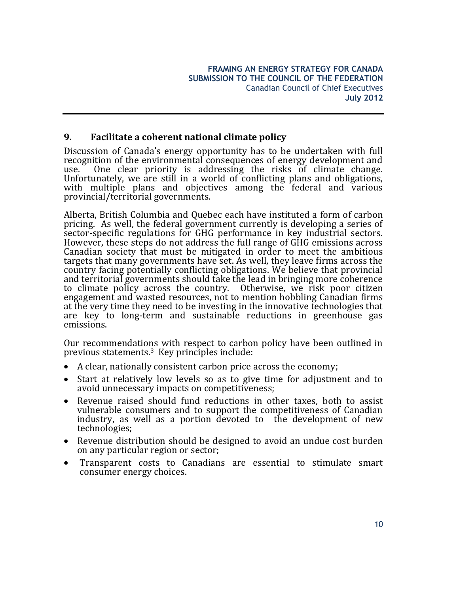# **9. Facilitate a coherent national climate policy**

Discussion of Canada's energy opportunity has to be undertaken with full recognition of the environmental consequences of energy development and use. One clear priority is addressing the risks of climate change. Unfortunately, we are still in a world of conflicting plans and obligations, with multiple plans and objectives among the federal and various provincial/territorial governments.

Alberta, British Columbia and Quebec each have instituted a form of carbon pricing. As well, the federal government currently is developing a series of sector-specific regulations for GHG performance in key industrial sectors. However, these steps do not address the full range of GHG emissions across Canadian society that must be mitigated in order to meet the ambitious targets that many governments have set. As well, they leave firms across the country facing potentially conflicting obligations. We believe that provincial and territorial governments should take the lead in bringing more coherence to climate policy across the country. Otherwise, we risk poor citizen engagement and wasted resources, not to mention hobbling Canadian firms at the very time they need to be investing in the innovative technologies that are key to long-term and sustainable reductions in greenhouse gas emissions.

Our recommendations with respect to carbon policy have been outlined in previous statements. <sup>3</sup> Key principles include:

- A clear, nationally consistent carbon price across the economy;
- Start at relatively low levels so as to give time for adjustment and to avoid unnecessary impacts on competitiveness;
- Revenue raised should fund reductions in other taxes, both to assist vulnerable consumers and to support the competitiveness of Canadian industry, as well as a portion devoted to the development of new technologies;
- Revenue distribution should be designed to avoid an undue cost burden on any particular region or sector;
- Transparent costs to Canadians are essential to stimulate smart consumer energy choices.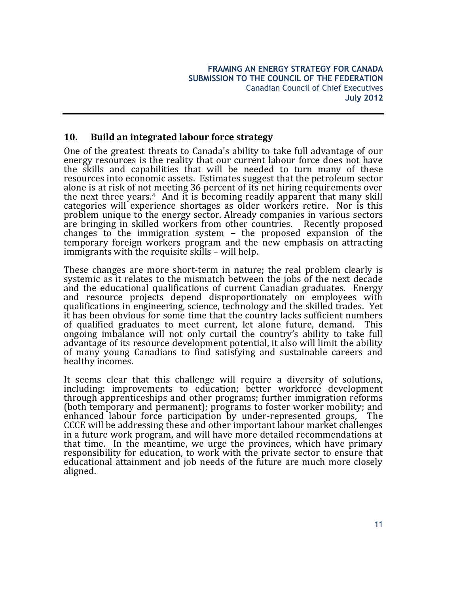# **10. Build an integrated labour force strategy**

One of the greatest threats to Canada's ability to take full advantage of our energy resources is the reality that our current labour force does not have the skills and capabilities that will be needed to turn many of these resources into economic assets. Estimates suggest that the petroleum sector alone is at risk of not meeting 36 percent of its net hiring requirements over the next three years.<sup>4</sup> And it is becoming readily apparent that many skill categories will experience shortages as older workers retire. Nor is this problem unique to the energy sector. Already companies in various sectors are bringing in skilled workers from other countries. Recently proposed changes to the immigration system – the proposed expansion of the temporary foreign workers program and the new emphasis on attracting immigrants with the requisite skills – will help.

These changes are more short-term in nature; the real problem clearly is systemic as it relates to the mismatch between the jobs of the next decade and the educational qualifications of current Canadian graduates. Energy and resource projects depend disproportionately on employees with qualifications in engineering, science, technology and the skilled trades. Yet it has been obvious for some time that the country lacks sufficient numbers of qualified graduates to meet current, let alone future, demand. This ongoing imbalance will not only curtail the country's ability to take full advantage of its resource development potential, it also will limit the ability of many young Canadians to find satisfying and sustainable careers and healthy incomes.

It seems clear that this challenge will require a diversity of solutions, including: improvements to education; better workforce development through apprenticeships and other programs; further immigration reforms (both temporary and permanent); programs to foster worker mobility; and enhanced labour force participation by under-represented groups, The CCCE will be addressing these and other important labour market challenges in a future work program, and will have more detailed recommendations at that time. In the meantime, we urge the provinces, which have primary responsibility for education, to work with the private sector to ensure that educational attainment and job needs of the future are much more closely aligned.